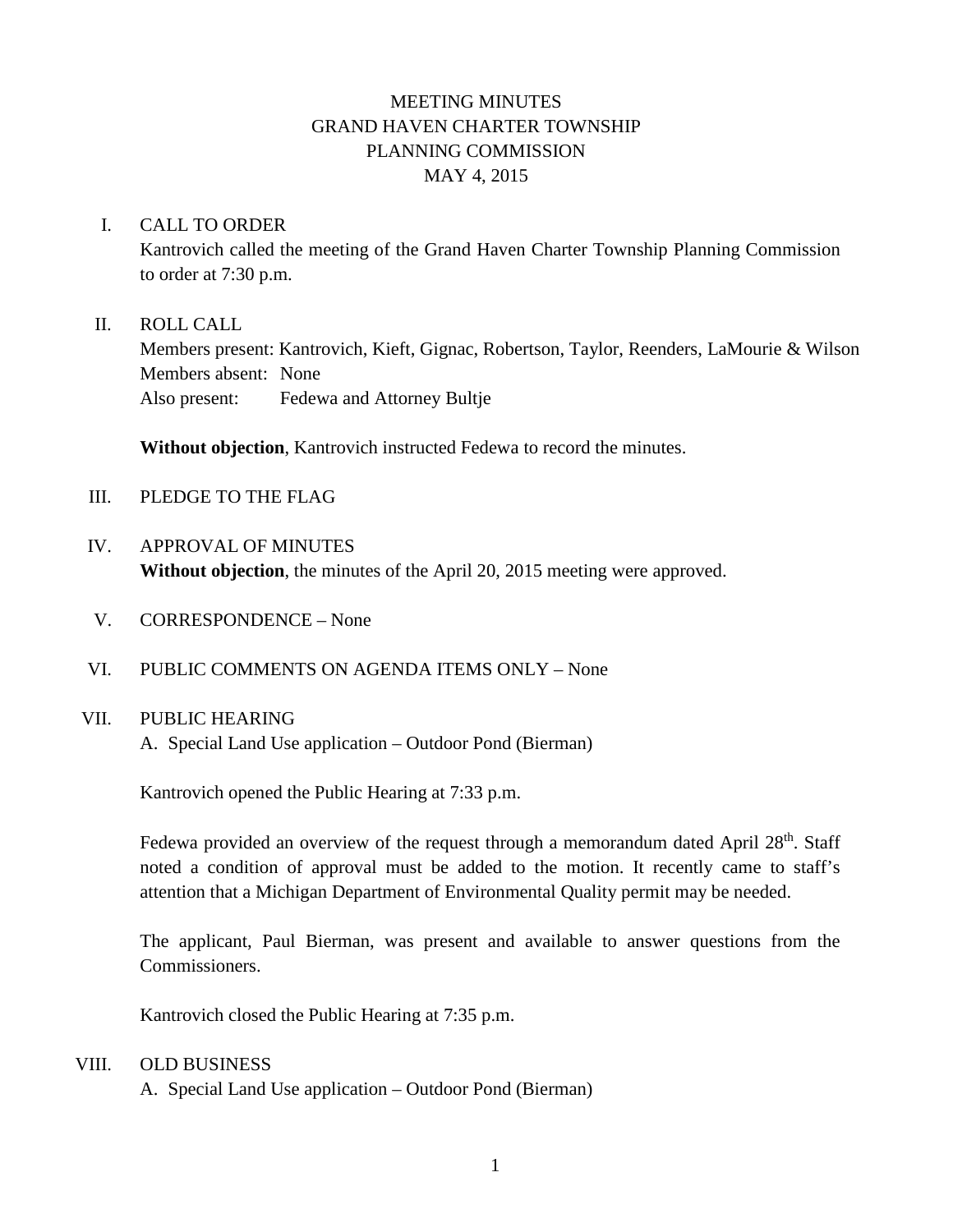# MEETING MINUTES GRAND HAVEN CHARTER TOWNSHIP PLANNING COMMISSION MAY 4, 2015

### I. CALL TO ORDER

Kantrovich called the meeting of the Grand Haven Charter Township Planning Commission to order at 7:30 p.m.

#### II. ROLL CALL

Members present: Kantrovich, Kieft, Gignac, Robertson, Taylor, Reenders, LaMourie & Wilson Members absent: None Also present: Fedewa and Attorney Bultje

**Without objection**, Kantrovich instructed Fedewa to record the minutes.

- III. PLEDGE TO THE FLAG
- IV. APPROVAL OF MINUTES **Without objection**, the minutes of the April 20, 2015 meeting were approved.
- V. CORRESPONDENCE None
- VI. PUBLIC COMMENTS ON AGENDA ITEMS ONLY None

### VII. PUBLIC HEARING

A. Special Land Use application – Outdoor Pond (Bierman)

Kantrovich opened the Public Hearing at 7:33 p.m.

Fedewa provided an overview of the request through a memorandum dated April  $28<sup>th</sup>$ . Staff noted a condition of approval must be added to the motion. It recently came to staff's attention that a Michigan Department of Environmental Quality permit may be needed.

The applicant, Paul Bierman, was present and available to answer questions from the Commissioners.

Kantrovich closed the Public Hearing at 7:35 p.m.

#### VIII. OLD BUSINESS

A. Special Land Use application – Outdoor Pond (Bierman)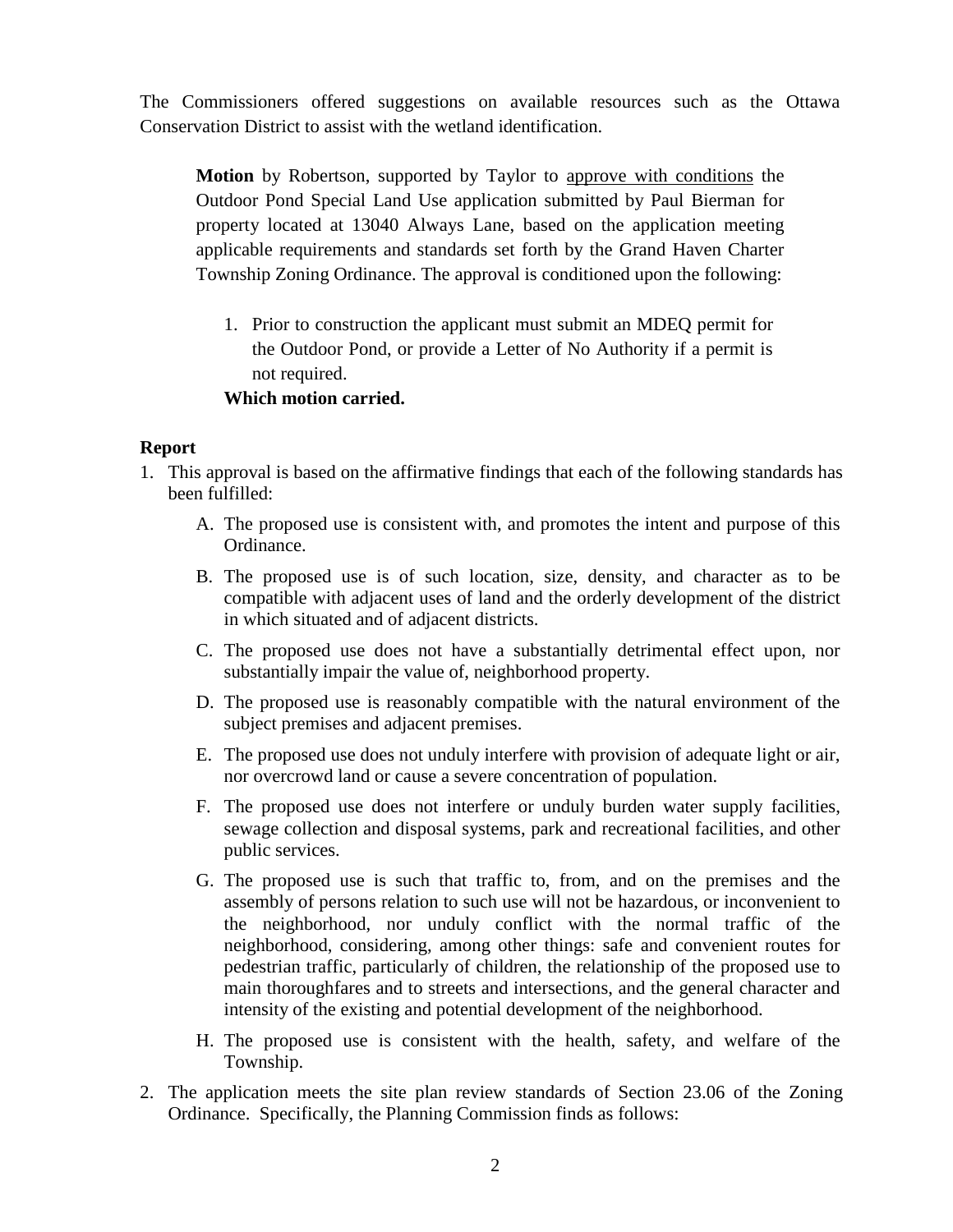The Commissioners offered suggestions on available resources such as the Ottawa Conservation District to assist with the wetland identification.

**Motion** by Robertson, supported by Taylor to approve with conditions the Outdoor Pond Special Land Use application submitted by Paul Bierman for property located at 13040 Always Lane, based on the application meeting applicable requirements and standards set forth by the Grand Haven Charter Township Zoning Ordinance. The approval is conditioned upon the following:

1. Prior to construction the applicant must submit an MDEQ permit for the Outdoor Pond, or provide a Letter of No Authority if a permit is not required.

# **Which motion carried.**

### **Report**

- 1. This approval is based on the affirmative findings that each of the following standards has been fulfilled:
	- A. The proposed use is consistent with, and promotes the intent and purpose of this Ordinance.
	- B. The proposed use is of such location, size, density, and character as to be compatible with adjacent uses of land and the orderly development of the district in which situated and of adjacent districts.
	- C. The proposed use does not have a substantially detrimental effect upon, nor substantially impair the value of, neighborhood property.
	- D. The proposed use is reasonably compatible with the natural environment of the subject premises and adjacent premises.
	- E. The proposed use does not unduly interfere with provision of adequate light or air, nor overcrowd land or cause a severe concentration of population.
	- F. The proposed use does not interfere or unduly burden water supply facilities, sewage collection and disposal systems, park and recreational facilities, and other public services.
	- G. The proposed use is such that traffic to, from, and on the premises and the assembly of persons relation to such use will not be hazardous, or inconvenient to the neighborhood, nor unduly conflict with the normal traffic of the neighborhood, considering, among other things: safe and convenient routes for pedestrian traffic, particularly of children, the relationship of the proposed use to main thoroughfares and to streets and intersections, and the general character and intensity of the existing and potential development of the neighborhood.
	- H. The proposed use is consistent with the health, safety, and welfare of the Township.
- 2. The application meets the site plan review standards of Section 23.06 of the Zoning Ordinance. Specifically, the Planning Commission finds as follows: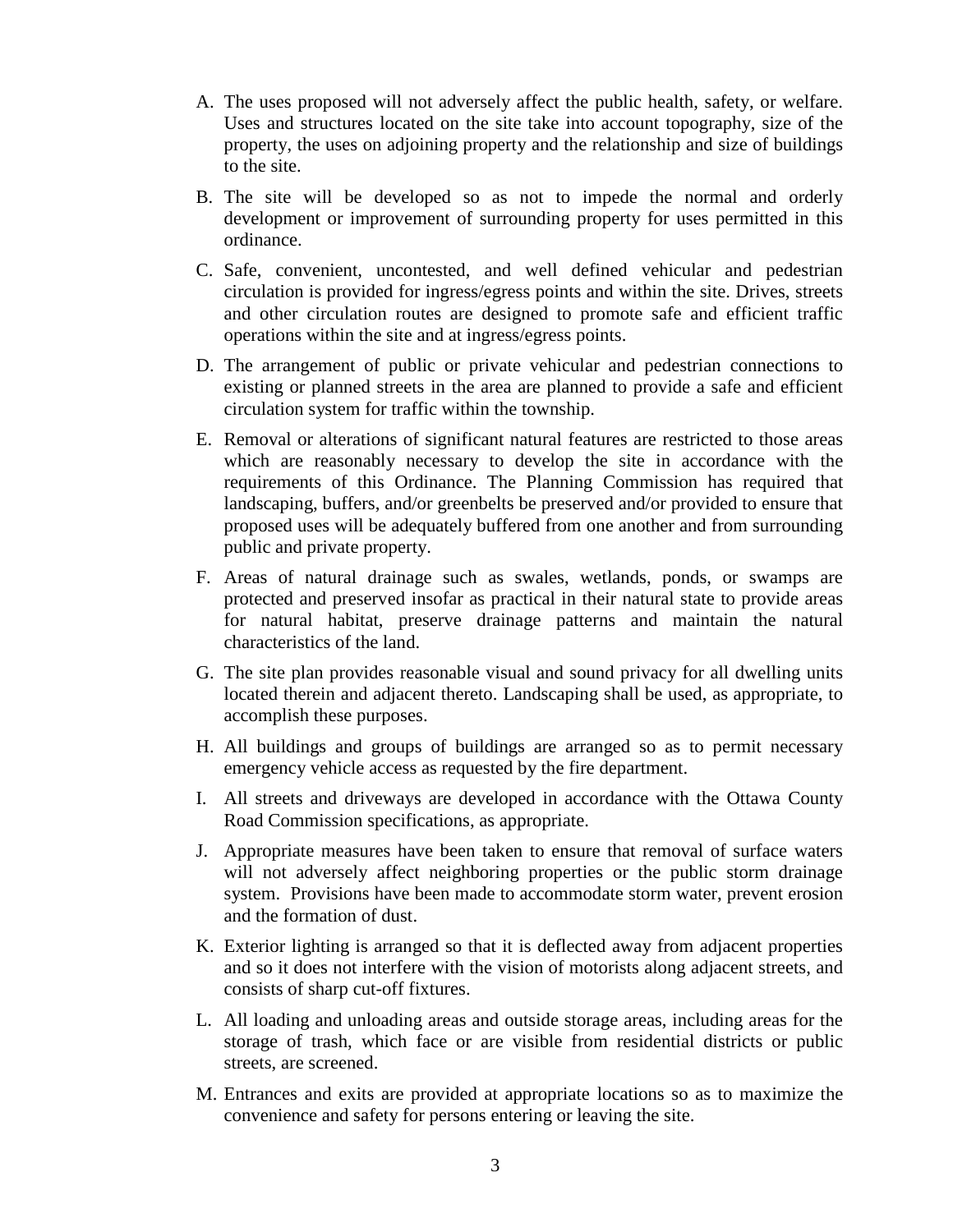- A. The uses proposed will not adversely affect the public health, safety, or welfare. Uses and structures located on the site take into account topography, size of the property, the uses on adjoining property and the relationship and size of buildings to the site.
- B. The site will be developed so as not to impede the normal and orderly development or improvement of surrounding property for uses permitted in this ordinance.
- C. Safe, convenient, uncontested, and well defined vehicular and pedestrian circulation is provided for ingress/egress points and within the site. Drives, streets and other circulation routes are designed to promote safe and efficient traffic operations within the site and at ingress/egress points.
- D. The arrangement of public or private vehicular and pedestrian connections to existing or planned streets in the area are planned to provide a safe and efficient circulation system for traffic within the township.
- E. Removal or alterations of significant natural features are restricted to those areas which are reasonably necessary to develop the site in accordance with the requirements of this Ordinance. The Planning Commission has required that landscaping, buffers, and/or greenbelts be preserved and/or provided to ensure that proposed uses will be adequately buffered from one another and from surrounding public and private property.
- F. Areas of natural drainage such as swales, wetlands, ponds, or swamps are protected and preserved insofar as practical in their natural state to provide areas for natural habitat, preserve drainage patterns and maintain the natural characteristics of the land.
- G. The site plan provides reasonable visual and sound privacy for all dwelling units located therein and adjacent thereto. Landscaping shall be used, as appropriate, to accomplish these purposes.
- H. All buildings and groups of buildings are arranged so as to permit necessary emergency vehicle access as requested by the fire department.
- I. All streets and driveways are developed in accordance with the Ottawa County Road Commission specifications, as appropriate.
- J. Appropriate measures have been taken to ensure that removal of surface waters will not adversely affect neighboring properties or the public storm drainage system. Provisions have been made to accommodate storm water, prevent erosion and the formation of dust.
- K. Exterior lighting is arranged so that it is deflected away from adjacent properties and so it does not interfere with the vision of motorists along adjacent streets, and consists of sharp cut-off fixtures.
- L. All loading and unloading areas and outside storage areas, including areas for the storage of trash, which face or are visible from residential districts or public streets, are screened.
- M. Entrances and exits are provided at appropriate locations so as to maximize the convenience and safety for persons entering or leaving the site.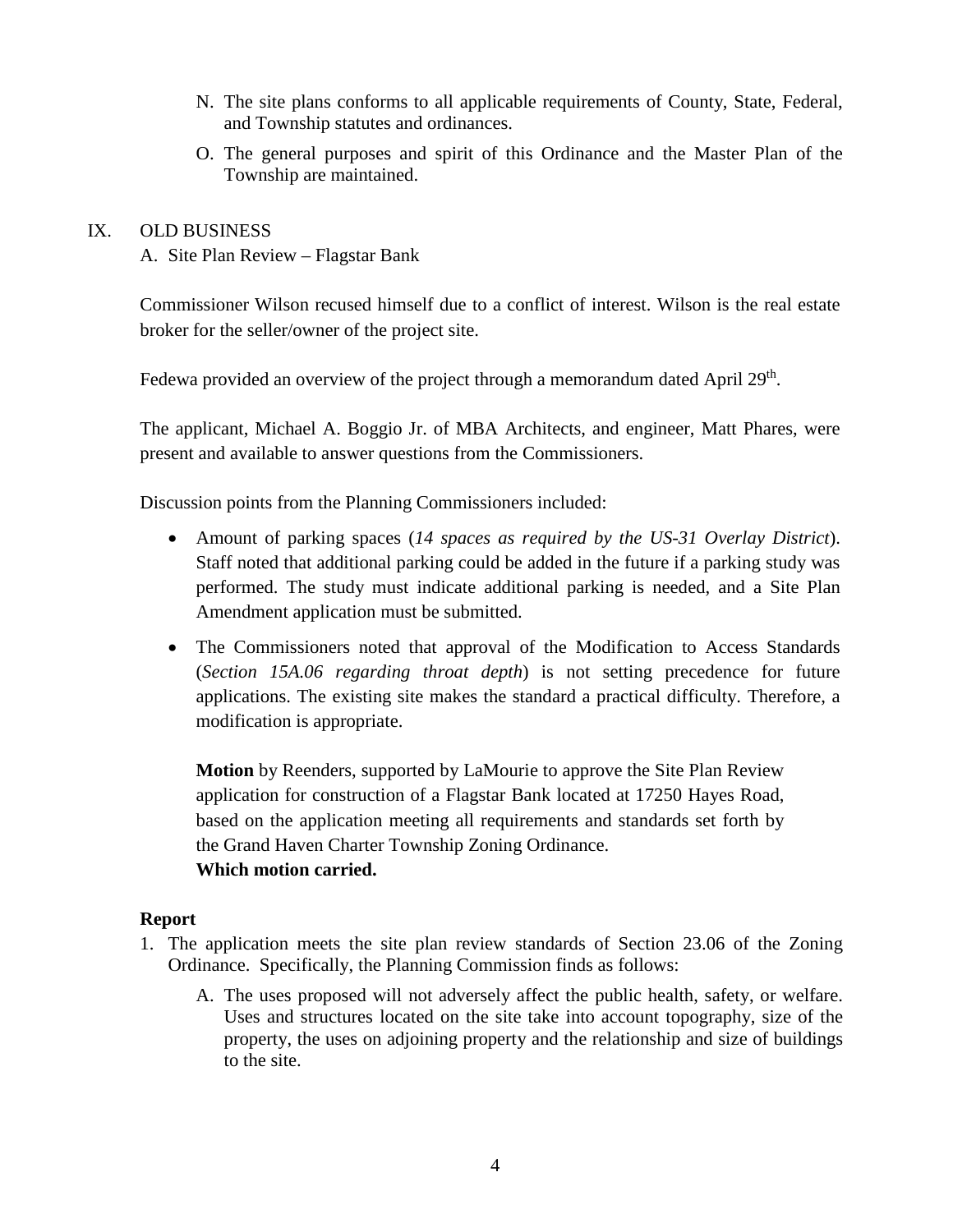- N. The site plans conforms to all applicable requirements of County, State, Federal, and Township statutes and ordinances.
- O. The general purposes and spirit of this Ordinance and the Master Plan of the Township are maintained.

### IX. OLD BUSINESS

A. Site Plan Review – Flagstar Bank

Commissioner Wilson recused himself due to a conflict of interest. Wilson is the real estate broker for the seller/owner of the project site.

Fedewa provided an overview of the project through a memorandum dated April 29<sup>th</sup>.

The applicant, Michael A. Boggio Jr. of MBA Architects, and engineer, Matt Phares, were present and available to answer questions from the Commissioners.

Discussion points from the Planning Commissioners included:

- Amount of parking spaces (*14 spaces as required by the US-31 Overlay District*). Staff noted that additional parking could be added in the future if a parking study was performed. The study must indicate additional parking is needed, and a Site Plan Amendment application must be submitted.
- The Commissioners noted that approval of the Modification to Access Standards (*Section 15A.06 regarding throat depth*) is not setting precedence for future applications. The existing site makes the standard a practical difficulty. Therefore, a modification is appropriate.

**Motion** by Reenders, supported by LaMourie to approve the Site Plan Review application for construction of a Flagstar Bank located at 17250 Hayes Road, based on the application meeting all requirements and standards set forth by the Grand Haven Charter Township Zoning Ordinance. **Which motion carried.**

### **Report**

- 1. The application meets the site plan review standards of Section 23.06 of the Zoning Ordinance. Specifically, the Planning Commission finds as follows:
	- A. The uses proposed will not adversely affect the public health, safety, or welfare. Uses and structures located on the site take into account topography, size of the property, the uses on adjoining property and the relationship and size of buildings to the site.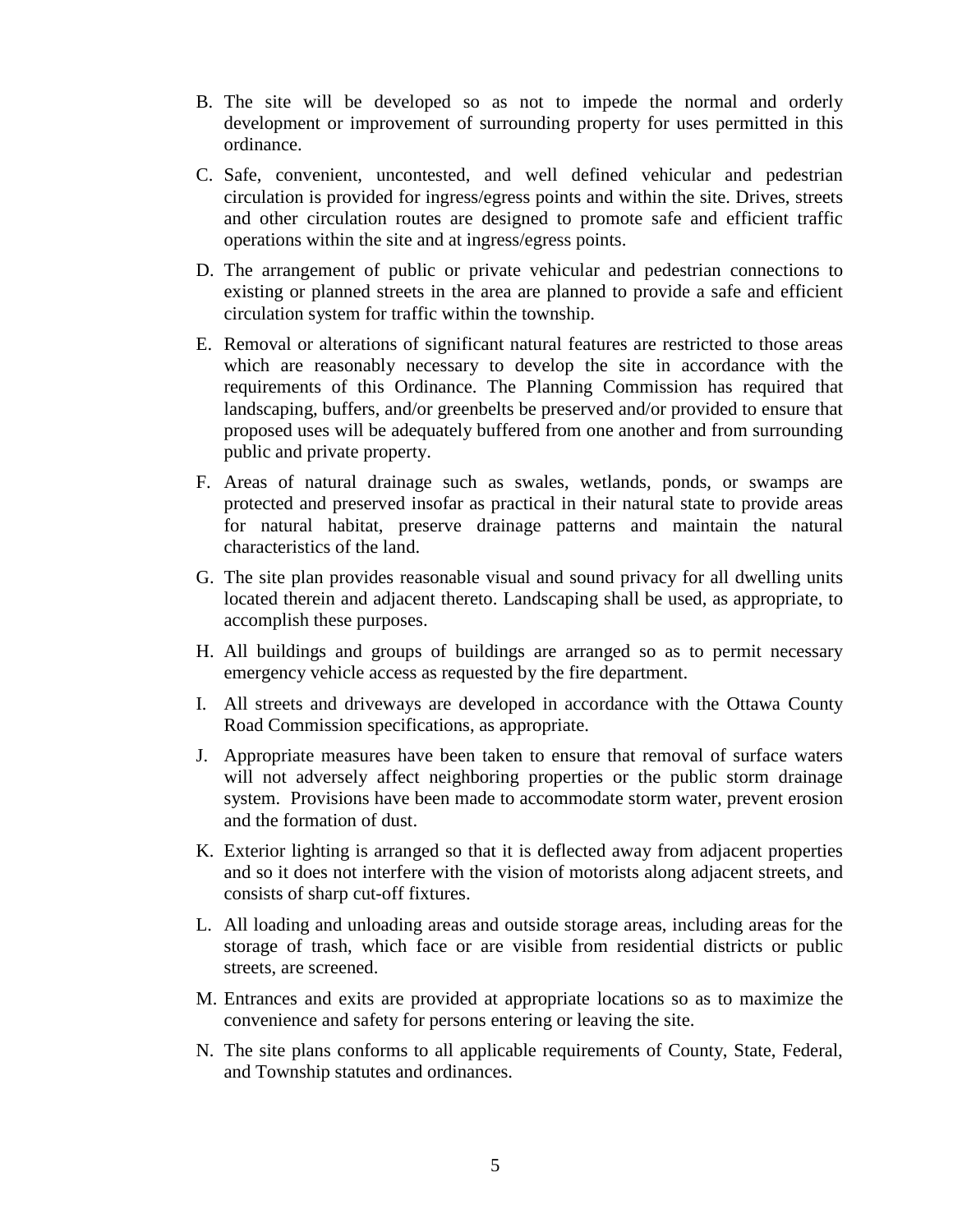- B. The site will be developed so as not to impede the normal and orderly development or improvement of surrounding property for uses permitted in this ordinance.
- C. Safe, convenient, uncontested, and well defined vehicular and pedestrian circulation is provided for ingress/egress points and within the site. Drives, streets and other circulation routes are designed to promote safe and efficient traffic operations within the site and at ingress/egress points.
- D. The arrangement of public or private vehicular and pedestrian connections to existing or planned streets in the area are planned to provide a safe and efficient circulation system for traffic within the township.
- E. Removal or alterations of significant natural features are restricted to those areas which are reasonably necessary to develop the site in accordance with the requirements of this Ordinance. The Planning Commission has required that landscaping, buffers, and/or greenbelts be preserved and/or provided to ensure that proposed uses will be adequately buffered from one another and from surrounding public and private property.
- F. Areas of natural drainage such as swales, wetlands, ponds, or swamps are protected and preserved insofar as practical in their natural state to provide areas for natural habitat, preserve drainage patterns and maintain the natural characteristics of the land.
- G. The site plan provides reasonable visual and sound privacy for all dwelling units located therein and adjacent thereto. Landscaping shall be used, as appropriate, to accomplish these purposes.
- H. All buildings and groups of buildings are arranged so as to permit necessary emergency vehicle access as requested by the fire department.
- I. All streets and driveways are developed in accordance with the Ottawa County Road Commission specifications, as appropriate.
- J. Appropriate measures have been taken to ensure that removal of surface waters will not adversely affect neighboring properties or the public storm drainage system. Provisions have been made to accommodate storm water, prevent erosion and the formation of dust.
- K. Exterior lighting is arranged so that it is deflected away from adjacent properties and so it does not interfere with the vision of motorists along adjacent streets, and consists of sharp cut-off fixtures.
- L. All loading and unloading areas and outside storage areas, including areas for the storage of trash, which face or are visible from residential districts or public streets, are screened.
- M. Entrances and exits are provided at appropriate locations so as to maximize the convenience and safety for persons entering or leaving the site.
- N. The site plans conforms to all applicable requirements of County, State, Federal, and Township statutes and ordinances.